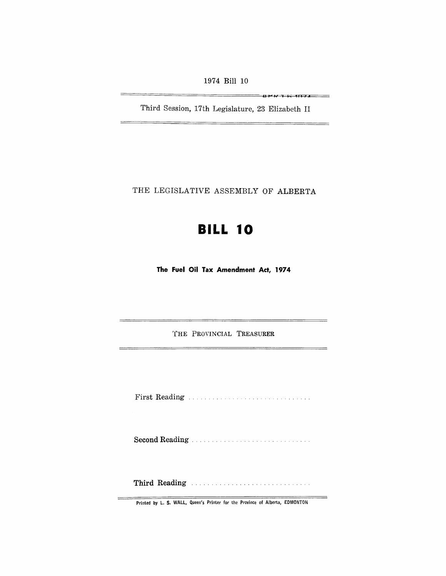1974 Bill 10

**B=JPTI I I 4 I I •** 

 $\sim$ 

÷,

Third Session, 17th Legislature, 23 Elizabeth II

THE LEGISLATIVE ASSEMBLY OF ALBERTA

# **BILL 10**

**The Fuel Oil Tax Amendment Act, 1974** 

THE PROVINCIAL TREASURER

First Reading ......... .

Second Reading ..

**Third** Reading .....

Printed by L. S. WALL, Queen's Printer for the Province of Alberta, EDMONTON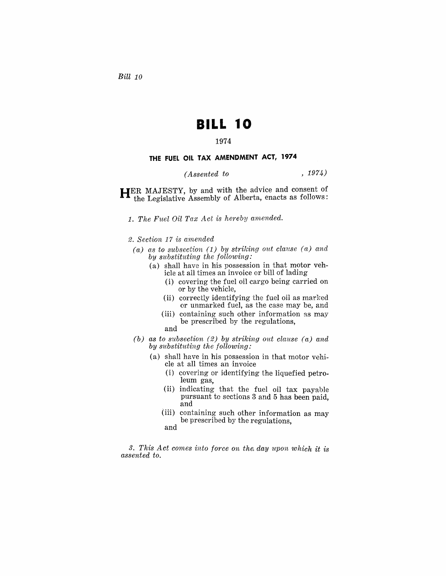*Bill 10* 

## **BILL 10**

### 1974

#### **THE FUEL OIL TAX AMENDMENT ACT, 1974**

## *(Assented to* , 1974)

**HER** MAJESTY, by and with the advice and consent of the Legislative Assembly of Alberta, enacts as follows:

1. The Fuel Oil Tax Act is hereby amended.

2. Section 17 is amended

- *(a) as to sub8ection* (1) *by striking out clause (a) and by sUbstituting the following:* 
	- (a) shall have in his possession in that motor vehicle at all times an invoice or bill of lading
		- (i) covering the fuel oil cargo being carried on or by the vehicle,
		- (ii) correctly identifying the fuel oil as marked or unmarked fuel, as the case may be, and
		- (iii) containing such other information as may be prescribed by the regulations, and
- *(b) as to 8ubsection* (2) *by striking out clause (a) and by substituting the following:* 
	- (a) shall have in his possession in that motor vehicle at all times an invoice
		- (i) covering or identifying the liquefied petroleum gas,
		- (ii) indicating that the fuel oil tax payable pursuant to sections 3 and 5 has been paid, and
		- (iii) containing such other information as may be prescribed by the regulations,
		- and

3. This Act comes into force on the day upon which it is *assented to.*